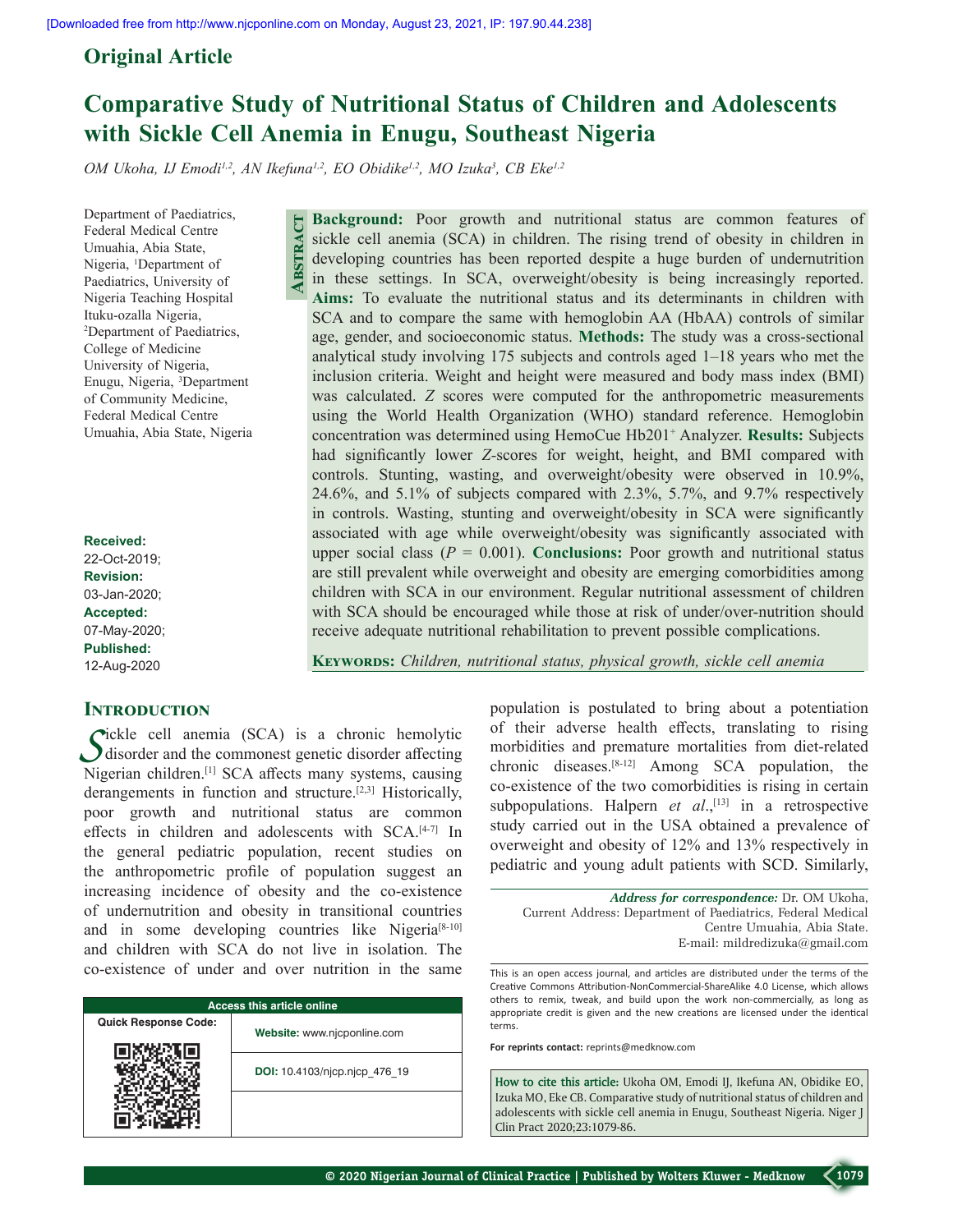# **Original Article**

# **Comparative Study of Nutritional Status of Children and Adolescents with Sickle Cell Anemia in Enugu, Southeast Nigeria**

OM Ukoha, IJ Emodi<sup>1,2</sup>, AN Ikefuna<sup>1,2</sup>, EO Obidike<sup>1,2</sup>, MO Izuka<sup>3</sup>, CB Eke<sup>1,2</sup>

**Abstract**

Department of Paediatrics, Federal Medical Centre Umuahia, Abia State, Nigeria, <sup>1</sup>Department of Paediatrics, University of Nigeria Teaching Hospital Ituku‑ozalla Nigeria, 2 Department of Paediatrics, College of Medicine University of Nigeria, Enugu, Nigeria, 3 Department of Community Medicine, Federal Medical Centre Umuahia, Abia State, Nigeria

**Received:** 22-Oct-2019; **Revision:** 03-Jan-2020; **Accepted:** 07-May-2020; **Published:** 12-Aug-2020

# **INTRODUCTION**

*S*ickle cell anemia (SCA) is a chronic hemolytic disorder and the commonest genetic disorder affecting Nigerian children.<sup>[1]</sup> SCA affects many systems, causing derangements in function and structure.[2,3] Historically, poor growth and nutritional status are common effects in children and adolescents with SCA.<sup>[4-7]</sup> In the general pediatric population, recent studies on the anthropometric profile of population suggest an increasing incidence of obesity and the co-existence of undernutrition and obesity in transitional countries and in some developing countries like Nigeria<sup>[8-10]</sup> and children with SCA do not live in isolation. The co‑existence of under and over nutrition in the same

| <b>Access this article online</b> |                               |  |  |  |  |  |  |
|-----------------------------------|-------------------------------|--|--|--|--|--|--|
| <b>Quick Response Code:</b>       | Website: www.njcponline.com   |  |  |  |  |  |  |
|                                   | DOI: 10.4103/njcp.njcp 476 19 |  |  |  |  |  |  |
|                                   |                               |  |  |  |  |  |  |

**Background:** Poor growth and nutritional status are common features of sickle cell anemia (SCA) in children. The rising trend of obesity in children in developing countries has been reported despite a huge burden of undernutrition in these settings. In SCA, overweight/obesity is being increasingly reported. **Aims:** To evaluate the nutritional status and its determinants in children with SCA and to compare the same with hemoglobin AA (HbAA) controls of similar age, gender, and socioeconomic status. **Methods:** The study was a cross‑sectional analytical study involving 175 subjects and controls aged 1–18 years who met the inclusion criteria. Weight and height were measured and body mass index (BMI) was calculated. *Z* scores were computed for the anthropometric measurements using the World Health Organization (WHO) standard reference. Hemoglobin concentration was determined using HemoCue Hb201+ Analyzer. **Results:** Subjects had significantly lower *Z‑*scores for weight, height, and BMI compared with controls. Stunting, wasting, and overweight/obesity were observed in 10.9%, 24.6%, and 5.1% of subjects compared with 2.3%, 5.7%, and 9.7% respectively in controls. Wasting, stunting and overweight/obesity in SCA were significantly associated with age while overweight/obesity was significantly associated with upper social class  $(P = 0.001)$ . **Conclusions:** Poor growth and nutritional status are still prevalent while overweight and obesity are emerging comorbidities among children with SCA in our environment. Regular nutritional assessment of children with SCA should be encouraged while those at risk of under/over-nutrition should receive adequate nutritional rehabilitation to prevent possible complications.

**Keywords:** *Children, nutritional status, physical growth, sickle cell anemia*

population is postulated to bring about a potentiation of their adverse health effects, translating to rising morbidities and premature mortalities from diet-related chronic diseases.[8‑12] Among SCA population, the co‑existence of the two comorbidities is rising in certain subpopulations. Halpern *et al.*,<sup>[13]</sup> in a retrospective study carried out in the USA obtained a prevalence of overweight and obesity of 12% and 13% respectively in pediatric and young adult patients with SCD. Similarly,

*Address for correspondence:* Dr. OM Ukoha, Current Address: Department of Paediatrics, Federal Medical Centre Umuahia, Abia State. E‑mail: mildredizuka@gmail.com

This is an open access journal, and articles are distributed under the terms of the Creative Commons Attribution‑NonCommercial‑ShareAlike 4.0 License, which allows others to remix, tweak, and build upon the work non‑commercially, as long as appropriate credit is given and the new creations are licensed under the identical terms.

**For reprints contact:** reprints@medknow.com

**How to cite this article:** Ukoha OM, Emodi IJ, Ikefuna AN, Obidike EO, Izuka MO, Eke CB. Comparative study of nutritional status of children and adolescents with sickle cell anemia in Enugu, Southeast Nigeria. Niger J Clin Pract 2020;23:1079-86.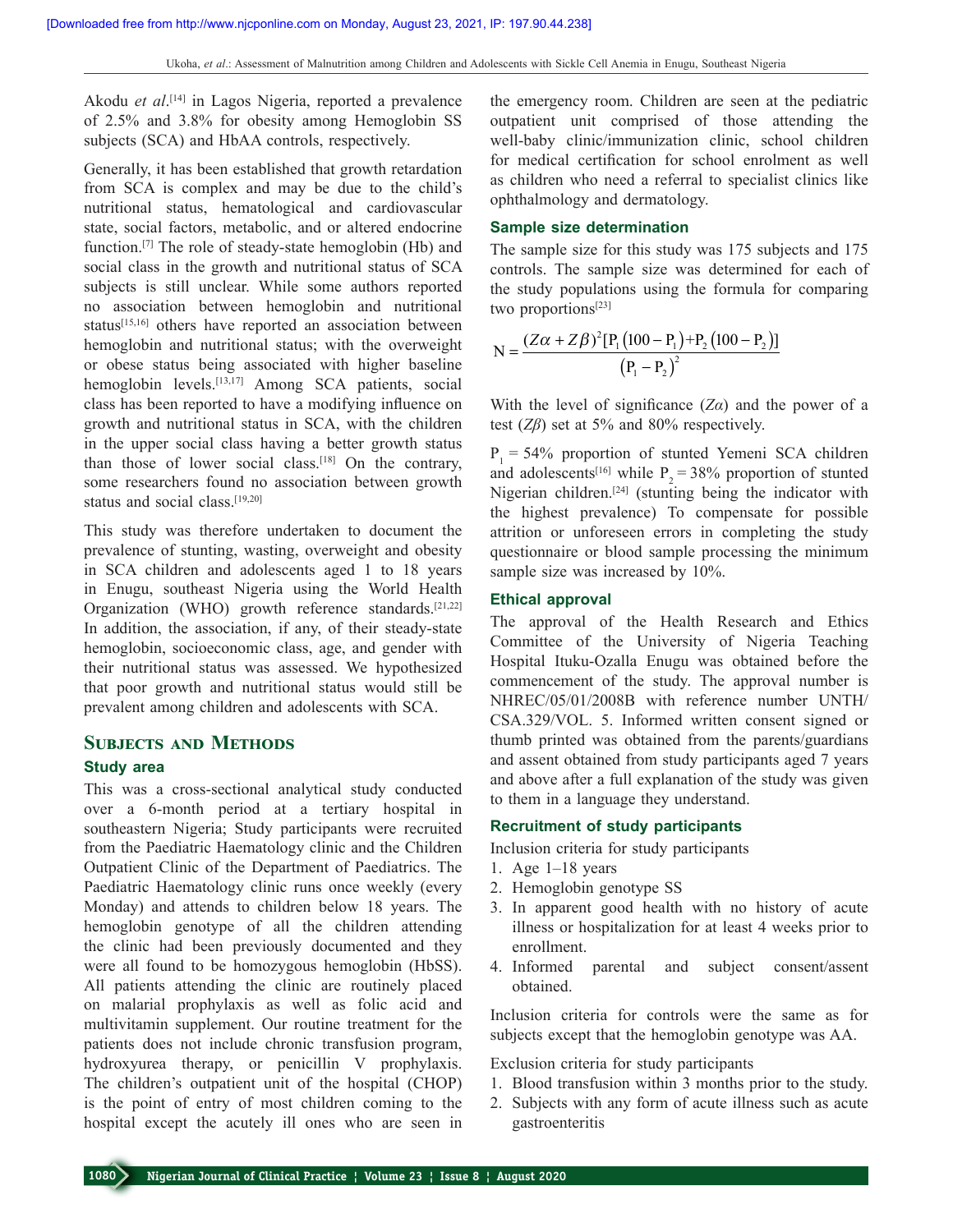Akodu *et al*. [14] in Lagos Nigeria, reported a prevalence of 2.5% and 3.8% for obesity among Hemoglobin SS subjects (SCA) and HbAA controls, respectively.

Generally, it has been established that growth retardation from SCA is complex and may be due to the child's nutritional status, hematological and cardiovascular state, social factors, metabolic, and or altered endocrine function.<sup>[7]</sup> The role of steady-state hemoglobin (Hb) and social class in the growth and nutritional status of SCA subjects is still unclear. While some authors reported no association between hemoglobin and nutritional status[15,16] others have reported an association between hemoglobin and nutritional status; with the overweight or obese status being associated with higher baseline hemoglobin levels.<sup>[13,17]</sup> Among SCA patients, social class has been reported to have a modifying influence on growth and nutritional status in SCA, with the children in the upper social class having a better growth status than those of lower social class.<sup>[18]</sup> On the contrary, some researchers found no association between growth status and social class.[19,20]

This study was therefore undertaken to document the prevalence of stunting, wasting, overweight and obesity in SCA children and adolescents aged 1 to 18 years in Enugu, southeast Nigeria using the World Health Organization (WHO) growth reference standards.<sup>[21,22]</sup> In addition, the association, if any, of their steady-state hemoglobin, socioeconomic class, age, and gender with their nutritional status was assessed. We hypothesized that poor growth and nutritional status would still be prevalent among children and adolescents with SCA.

# **Subjects and Methods**

# **Study area**

This was a cross-sectional analytical study conducted over a 6‑month period at a tertiary hospital in southeastern Nigeria; Study participants were recruited from the Paediatric Haematology clinic and the Children Outpatient Clinic of the Department of Paediatrics. The Paediatric Haematology clinic runs once weekly (every Monday) and attends to children below 18 years. The hemoglobin genotype of all the children attending the clinic had been previously documented and they were all found to be homozygous hemoglobin (HbSS). All patients attending the clinic are routinely placed on malarial prophylaxis as well as folic acid and multivitamin supplement. Our routine treatment for the patients does not include chronic transfusion program, hydroxyurea therapy, or penicillin V prophylaxis. The children's outpatient unit of the hospital (CHOP) is the point of entry of most children coming to the hospital except the acutely ill ones who are seen in

the emergency room. Children are seen at the pediatric outpatient unit comprised of those attending the well-baby clinic/immunization clinic, school children for medical certification for school enrolment as well as children who need a referral to specialist clinics like ophthalmology and dermatology.

#### **Sample size determination**

The sample size for this study was 175 subjects and 175 controls. The sample size was determined for each of the study populations using the formula for comparing two proportions[23]

$$
N = \frac{(Z\alpha + Z\beta)^{2} [P_{1} (100 - P_{1}) + P_{2} (100 - P_{2})]}{(P_{1} - P_{2})^{2}}
$$

With the level of significance  $(Z\alpha)$  and the power of a test (*Zβ*) set at 5% and 80% respectively.

 $P_1 = 54\%$  proportion of stunted Yemeni SCA children and adolescents<sup>[16]</sup> while  $P_2 = 38\%$  proportion of stunted Nigerian children.[24] (stunting being the indicator with the highest prevalence) To compensate for possible attrition or unforeseen errors in completing the study questionnaire or blood sample processing the minimum sample size was increased by 10%.

#### **Ethical approval**

The approval of the Health Research and Ethics Committee of the University of Nigeria Teaching Hospital Ituku‑Ozalla Enugu was obtained before the commencement of the study. The approval number is NHREC/05/01/2008B with reference number UNTH/ CSA.329/VOL. 5. Informed written consent signed or thumb printed was obtained from the parents/guardians and assent obtained from study participants aged 7 years and above after a full explanation of the study was given to them in a language they understand.

#### **Recruitment of study participants**

Inclusion criteria for study participants

- 1. Age 1–18 years
- 2. Hemoglobin genotype SS
- 3. In apparent good health with no history of acute illness or hospitalization for at least 4 weeks prior to enrollment.
- 4. Informed parental and subject consent/assent obtained.

Inclusion criteria for controls were the same as for subjects except that the hemoglobin genotype was AA.

Exclusion criteria for study participants

- 1. Blood transfusion within 3 months prior to the study.
- 2. Subjects with any form of acute illness such as acute gastroenteritis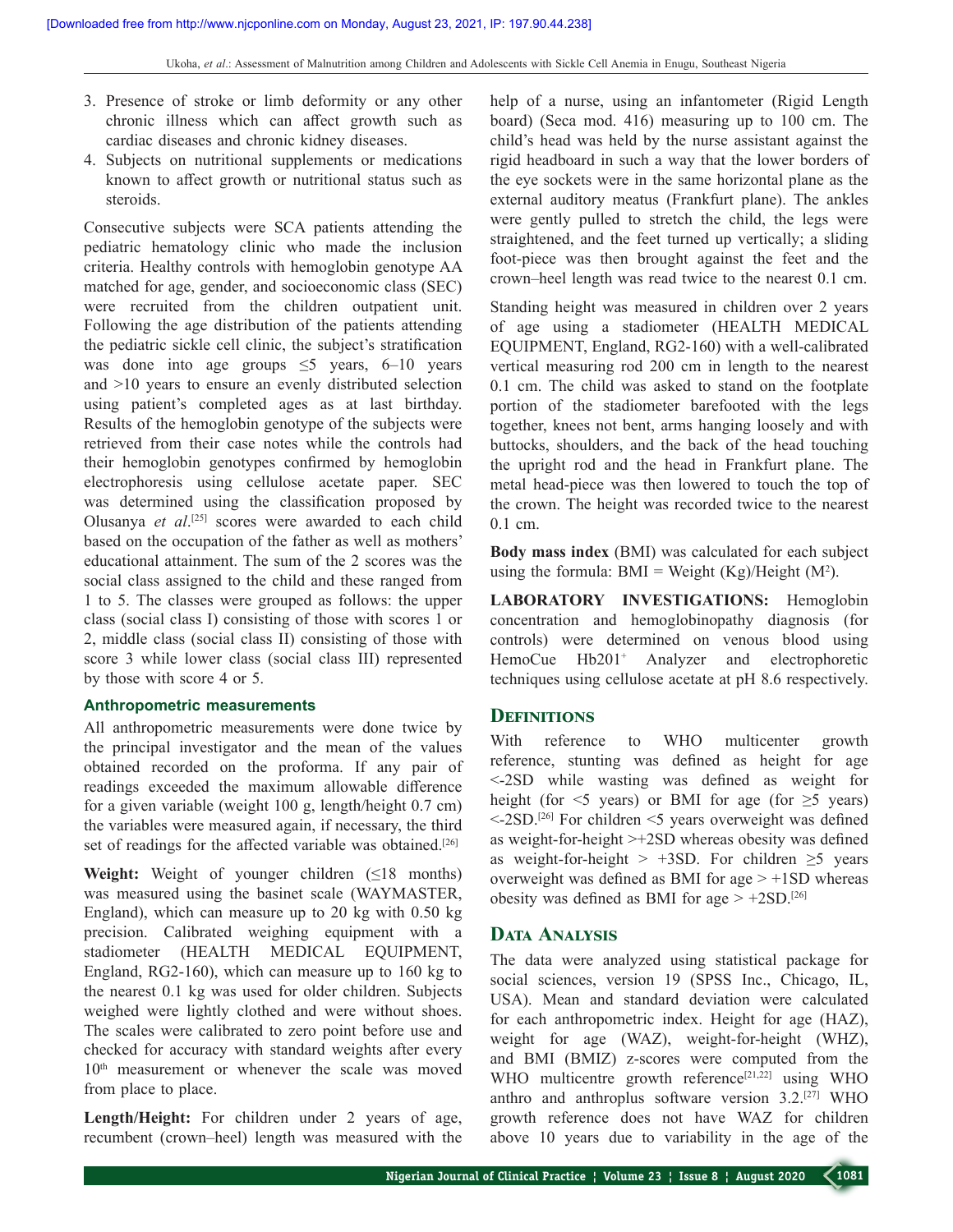- 3. Presence of stroke or limb deformity or any other chronic illness which can affect growth such as cardiac diseases and chronic kidney diseases.
- 4. Subjects on nutritional supplements or medications known to affect growth or nutritional status such as steroids.

Consecutive subjects were SCA patients attending the pediatric hematology clinic who made the inclusion criteria. Healthy controls with hemoglobin genotype AA matched for age, gender, and socioeconomic class (SEC) were recruited from the children outpatient unit. Following the age distribution of the patients attending the pediatric sickle cell clinic, the subject's stratification was done into age groups  $\leq$  years, 6–10 years and >10 years to ensure an evenly distributed selection using patient's completed ages as at last birthday. Results of the hemoglobin genotype of the subjects were retrieved from their case notes while the controls had their hemoglobin genotypes confirmed by hemoglobin electrophoresis using cellulose acetate paper. SEC was determined using the classification proposed by Olusanya *et al*. [25] scores were awarded to each child based on the occupation of the father as well as mothers' educational attainment. The sum of the 2 scores was the social class assigned to the child and these ranged from 1 to 5. The classes were grouped as follows: the upper class (social class I) consisting of those with scores 1 or 2, middle class (social class II) consisting of those with score 3 while lower class (social class III) represented by those with score 4 or 5.

#### **Anthropometric measurements**

All anthropometric measurements were done twice by the principal investigator and the mean of the values obtained recorded on the proforma. If any pair of readings exceeded the maximum allowable difference for a given variable (weight 100 g, length/height 0.7 cm) the variables were measured again, if necessary, the third set of readings for the affected variable was obtained.<sup>[26]</sup>

**Weight:** Weight of younger children  $(\leq 18$  months) was measured using the basinet scale (WAYMASTER, England), which can measure up to 20 kg with 0.50 kg precision. Calibrated weighing equipment with a stadiometer (HEALTH MEDICAL EQUIPMENT, England, RG2‑160), which can measure up to 160 kg to the nearest 0.1 kg was used for older children. Subjects weighed were lightly clothed and were without shoes. The scales were calibrated to zero point before use and checked for accuracy with standard weights after every 10<sup>th</sup> measurement or whenever the scale was moved from place to place.

**Length/Height:** For children under 2 years of age, recumbent (crown–heel) length was measured with the help of a nurse, using an infantometer (Rigid Length board) (Seca mod. 416) measuring up to 100 cm. The child's head was held by the nurse assistant against the rigid headboard in such a way that the lower borders of the eye sockets were in the same horizontal plane as the external auditory meatus (Frankfurt plane). The ankles were gently pulled to stretch the child, the legs were straightened, and the feet turned up vertically; a sliding foot‑piece was then brought against the feet and the crown–heel length was read twice to the nearest 0.1 cm.

Standing height was measured in children over 2 years of age using a stadiometer (HEALTH MEDICAL EQUIPMENT, England, RG2-160) with a well-calibrated vertical measuring rod 200 cm in length to the nearest 0.1 cm. The child was asked to stand on the footplate portion of the stadiometer barefooted with the legs together, knees not bent, arms hanging loosely and with buttocks, shoulders, and the back of the head touching the upright rod and the head in Frankfurt plane. The metal head-piece was then lowered to touch the top of the crown. The height was recorded twice to the nearest 0.1 cm.

**Body mass index** (BMI) was calculated for each subject using the formula:  $BMI = Weight (Kg)/Height (M<sup>2</sup>).$ 

**LABORATORY INVESTIGATIONS:** Hemoglobin concentration and hemoglobinopathy diagnosis (for controls) were determined on venous blood using HemoCue Hb201<sup>+</sup> Analyzer and electrophoretic techniques using cellulose acetate at pH 8.6 respectively.

# **Definitions**

With reference to WHO multicenter growth reference, stunting was defined as height for age <‑2SD while wasting was defined as weight for height (for  $\leq$  years) or BMI for age (for  $\geq$  years) <‑2SD.[26] For children <5 years overweight was defined as weight-for-height >+2SD whereas obesity was defined as weight-for-height > +3SD. For children  $\geq$ 5 years overweight was defined as BMI for age > +1SD whereas obesity was defined as BMI for age  $> +2SD$ .<sup>[26]</sup>

# **Data Analysis**

The data were analyzed using statistical package for social sciences, version 19 (SPSS Inc., Chicago, IL, USA). Mean and standard deviation were calculated for each anthropometric index. Height for age (HAZ), weight for age (WAZ), weight-for-height (WHZ), and BMI (BMIZ) z‑scores were computed from the WHO multicentre growth reference<sup>[21,22]</sup> using WHO anthro and anthroplus software version 3.2.[27] WHO growth reference does not have WAZ for children above 10 years due to variability in the age of the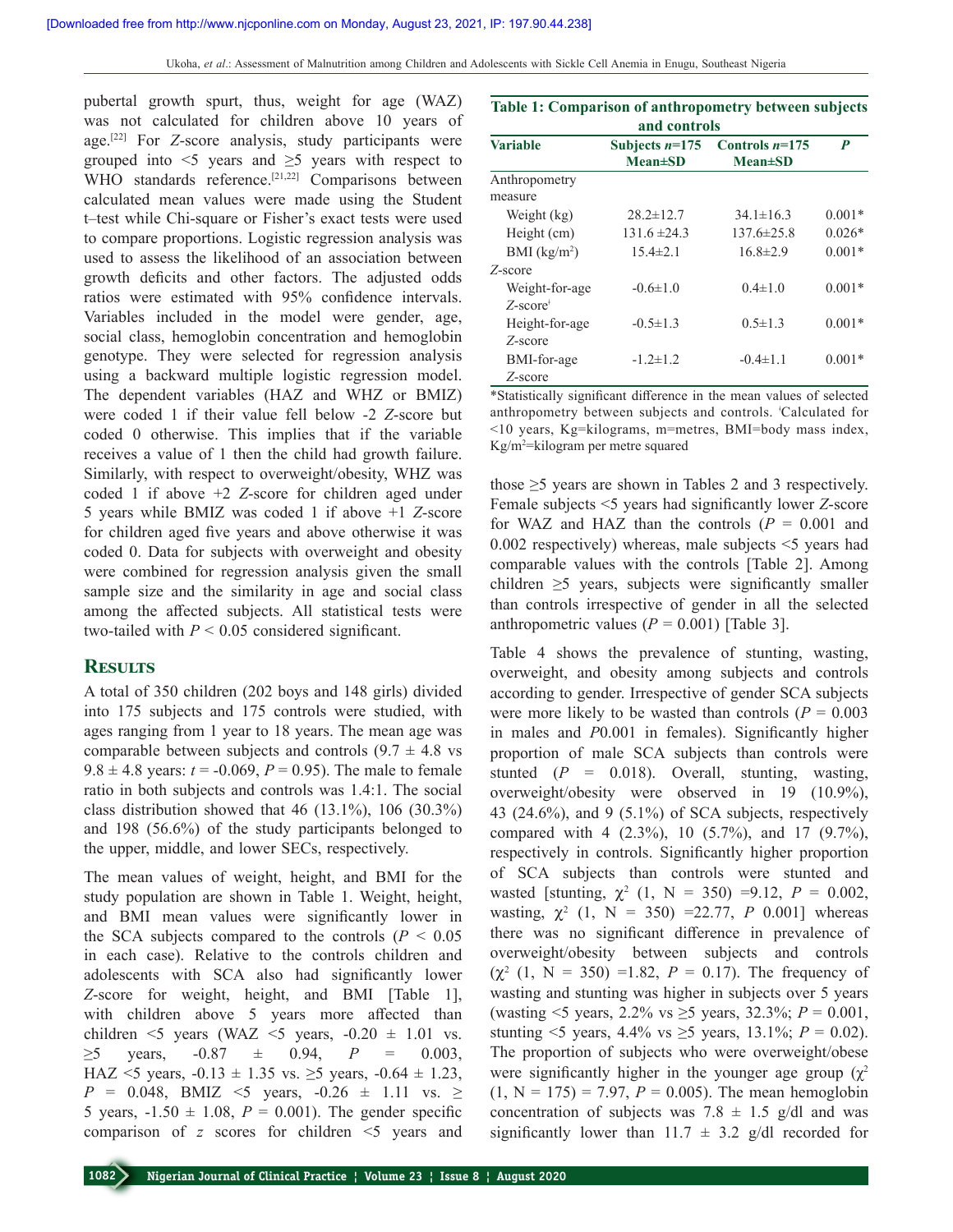pubertal growth spurt, thus, weight for age (WAZ) was not calculated for children above 10 years of age.[22] For *Z*‑score analysis, study participants were grouped into  $\leq$  years and  $\geq$  years with respect to WHO standards reference.<sup>[21,22]</sup> Comparisons between calculated mean values were made using the Student t–test while Chi‑square or Fisher's exact tests were used to compare proportions. Logistic regression analysis was used to assess the likelihood of an association between growth deficits and other factors. The adjusted odds ratios were estimated with 95% confidence intervals. Variables included in the model were gender, age, social class, hemoglobin concentration and hemoglobin genotype. They were selected for regression analysis using a backward multiple logistic regression model. The dependent variables (HAZ and WHZ or BMIZ) were coded 1 if their value fell below ‑2 *Z*‑score but coded 0 otherwise. This implies that if the variable receives a value of 1 then the child had growth failure. Similarly, with respect to overweight/obesity, WHZ was coded 1 if above +2 *Z*‑score for children aged under 5 years while BMIZ was coded 1 if above +1 *Z*‑score for children aged five years and above otherwise it was coded 0. Data for subjects with overweight and obesity were combined for regression analysis given the small sample size and the similarity in age and social class among the affected subjects. All statistical tests were two-tailed with  $P < 0.05$  considered significant.

# **Results**

A total of 350 children (202 boys and 148 girls) divided into 175 subjects and 175 controls were studied, with ages ranging from 1 year to 18 years. The mean age was comparable between subjects and controls  $(9.7 \pm 4.8 \text{ vs }$ 9.8  $\pm$  4.8 years: *t* = -0.069, *P* = 0.95). The male to female ratio in both subjects and controls was 1.4:1. The social class distribution showed that 46  $(13.1\%)$ , 106  $(30.3\%)$ and 198 (56.6%) of the study participants belonged to the upper, middle, and lower SECs, respectively.

The mean values of weight, height, and BMI for the study population are shown in Table 1. Weight, height, and BMI mean values were significantly lower in the SCA subjects compared to the controls  $(P < 0.05$ in each case). Relative to the controls children and adolescents with SCA also had significantly lower *Z*‑score for weight, height, and BMI [Table 1], with children above 5 years more affected than children  $\leq$  years (WAZ  $\leq$  years,  $-0.20 \pm 1.01$  vs.  $\geq$ 5 years, -0.87  $\pm$  0.94, *P* = 0.003, HAZ <5 years,  $-0.13 \pm 1.35$  vs.  $\geq$ 5 years,  $-0.64 \pm 1.23$ , *P* = 0.048, BMIZ  $\leq$ 5 years,  $-0.26 \pm 1.11$  vs.  $\geq$ 5 years,  $-1.50 \pm 1.08$ ,  $P = 0.001$ ). The gender specific comparison of *z* scores for children <5 years and

|  | Table 1: Comparison of anthropometry between subjects |  |
|--|-------------------------------------------------------|--|
|  | and controls                                          |  |

|                                            | anu controis     |                  |          |  |  |  |  |  |  |
|--------------------------------------------|------------------|------------------|----------|--|--|--|--|--|--|
| <b>Variable</b>                            | Subjects $n=175$ | Controls $n=175$ | P        |  |  |  |  |  |  |
|                                            | $Mean \pm SD$    | $Mean \pm SD$    |          |  |  |  |  |  |  |
| Anthropometry                              |                  |                  |          |  |  |  |  |  |  |
| measure                                    |                  |                  |          |  |  |  |  |  |  |
| Weight (kg)                                | $28.2 \pm 12.7$  | $34.1 \pm 16.3$  | $0.001*$ |  |  |  |  |  |  |
| Height (cm)                                | $131.6 \pm 24.3$ | $137.6 \pm 25.8$ | $0.026*$ |  |  |  |  |  |  |
| BMI $(kg/m2)$                              | $15.4 \pm 2.1$   | $16.8 \pm 2.9$   | $0.001*$ |  |  |  |  |  |  |
| Z-score                                    |                  |                  |          |  |  |  |  |  |  |
| Weight-for-age                             | $-0.6 \pm 1.0$   | $0.4 \pm 1.0$    | $0.001*$ |  |  |  |  |  |  |
| $Z$ -score <sup><math>\dagger</math></sup> |                  |                  |          |  |  |  |  |  |  |
| Height-for-age                             | $-0.5 \pm 1.3$   | $0.5 \pm 1.3$    | $0.001*$ |  |  |  |  |  |  |
| Z-score                                    |                  |                  |          |  |  |  |  |  |  |
| BMI-for-age                                | $-1.2 \pm 1.2$   | $-0.4 \pm 1.1$   | $0.001*$ |  |  |  |  |  |  |
| Z-score                                    |                  |                  |          |  |  |  |  |  |  |

\*Statistically significant difference in the mean values of selected anthropometry between subjects and controls. <sup>ǂ</sup> Calculated for <10 years, Kg=kilograms, m=metres, BMI=body mass index, Kg/m2 =kilogram per metre squared

those  $\geq$ 5 years are shown in Tables 2 and 3 respectively. Female subjects <5 years had significantly lower *Z*‑score for WAZ and HAZ than the controls  $(P = 0.001$  and 0.002 respectively) whereas, male subjects <5 years had comparable values with the controls [Table 2]. Among children  $\geq$ 5 years, subjects were significantly smaller than controls irrespective of gender in all the selected anthropometric values  $(P = 0.001)$  [Table 3].

Table 4 shows the prevalence of stunting, wasting, overweight, and obesity among subjects and controls according to gender. Irrespective of gender SCA subjects were more likely to be wasted than controls  $(P = 0.003)$ in males and *P*0.001 in females). Significantly higher proportion of male SCA subjects than controls were stunted (*P* = 0.018). Overall, stunting, wasting, overweight/obesity were observed in 19 (10.9%), 43 (24.6%), and 9 (5.1%) of SCA subjects, respectively compared with 4 (2.3%), 10 (5.7%), and 17 (9.7%), respectively in controls. Significantly higher proportion of SCA subjects than controls were stunted and wasted [stunting,  $\chi^2$  (1, N = 350) =9.12, P = 0.002, wasting,  $\chi^2$  (1, N = 350) =22.77, *P* 0.001] whereas there was no significant difference in prevalence of overweight/obesity between subjects and controls  $(\chi^2$  (1, N = 350) =1.82, P = 0.17). The frequency of wasting and stunting was higher in subjects over 5 years (wasting <5 years, 2.2% vs ≥5 years, 32.3%; *P* = 0.001, stunting <5 years,  $4.4\%$  vs  $\geq$ 5 years,  $13.1\%$ ;  $P = 0.02$ ). The proportion of subjects who were overweight/obese were significantly higher in the younger age group  $(\gamma^2)$  $(1, N = 175) = 7.97, P = 0.005$ . The mean hemoglobin concentration of subjects was  $7.8 \pm 1.5$  g/dl and was significantly lower than  $11.7 \pm 3.2$  g/dl recorded for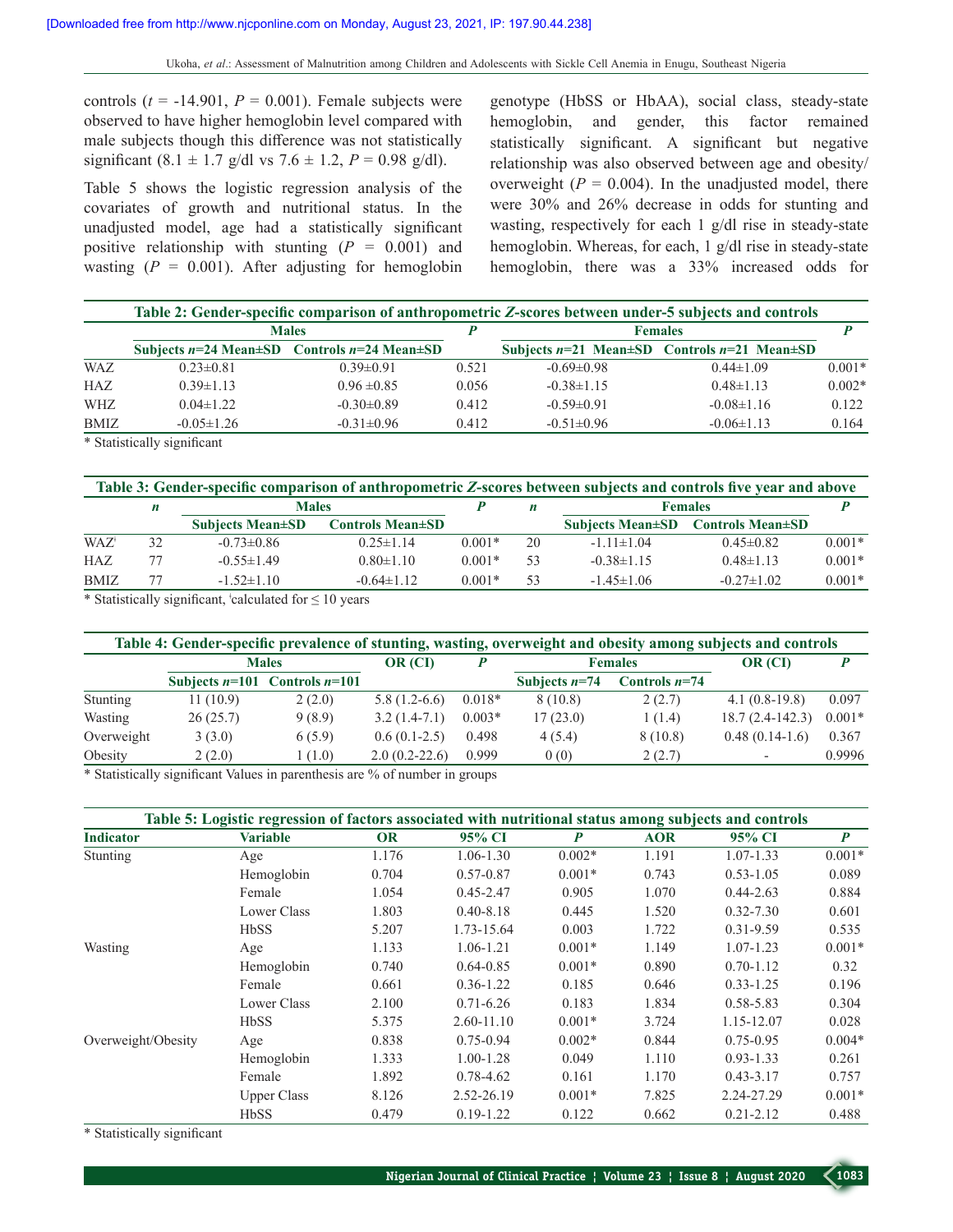controls  $(t = -14.901, P = 0.001)$ . Female subjects were observed to have higher hemoglobin level compared with male subjects though this difference was not statistically significant  $(8.1 \pm 1.7 \text{ g/dl vs } 7.6 \pm 1.2, P = 0.98 \text{ g/dl}).$ 

Table 5 shows the logistic regression analysis of the covariates of growth and nutritional status. In the unadjusted model, age had a statistically significant positive relationship with stunting  $(P = 0.001)$  and wasting  $(P = 0.001)$ . After adjusting for hemoglobin genotype (HbSS or HbAA), social class, steady‑state hemoglobin, and gender, this factor remained statistically significant. A significant but negative relationship was also observed between age and obesity/ overweight  $(P = 0.004)$ . In the unadjusted model, there were 30% and 26% decrease in odds for stunting and wasting, respectively for each  $1 \text{ g/d}$  rise in steady-state hemoglobin. Whereas, for each, 1 g/dl rise in steady-state hemoglobin, there was a 33% increased odds for

|                                                                                                                                      | Table 2: Gender-specific comparison of anthropometric Z-scores between under-5 subjects and controls |                                                             |                |                  |                                                             |          |  |  |  |
|--------------------------------------------------------------------------------------------------------------------------------------|------------------------------------------------------------------------------------------------------|-------------------------------------------------------------|----------------|------------------|-------------------------------------------------------------|----------|--|--|--|
|                                                                                                                                      | <b>Males</b>                                                                                         |                                                             | <b>Females</b> |                  |                                                             |          |  |  |  |
|                                                                                                                                      |                                                                                                      | Subjects $n=24$ Mean $\pm$ SD Controls $n=24$ Mean $\pm$ SD |                |                  | Subjects $n=21$ Mean $\pm SD$ Controls $n=21$ Mean $\pm SD$ |          |  |  |  |
| <b>WAZ</b>                                                                                                                           | $0.23 \pm 0.81$                                                                                      | $0.39 \pm 0.91$                                             | 0.521          | $-0.69 \pm 0.98$ | $0.44 \pm 1.09$                                             | $0.001*$ |  |  |  |
| HAZ                                                                                                                                  | $0.39 \pm 1.13$                                                                                      | $0.96 \pm 0.85$                                             | 0.056          | $-0.38\pm1.15$   | $0.48 \pm 1.13$                                             | $0.002*$ |  |  |  |
| <b>WHZ</b>                                                                                                                           | $0.04 \pm 1.22$                                                                                      | $-0.30\pm0.89$                                              | 0.412          | $-0.59 \pm 0.91$ | $-0.08\pm1.16$                                              | 0.122    |  |  |  |
| <b>BMIZ</b>                                                                                                                          | $-0.05 \pm 1.26$                                                                                     | $-0.31 \pm 0.96$                                            | 0.412          | $-0.51 \pm 0.96$ | $-0.06\pm1.13$                                              | 0.164    |  |  |  |
| $\mathbf{a}$ , $\mathbf{a}$ , $\mathbf{a}$ , $\mathbf{a}$ , $\mathbf{a}$ , $\mathbf{a}$ , $\mathbf{a}$ , $\mathbf{a}$ , $\mathbf{a}$ | $\cdot$ $\sim$                                                                                       |                                                             |                |                  |                                                             |          |  |  |  |

\* Statistically significant

| Table 3: Gender-specific comparison of anthropometric Z-scores between subjects and controls five year and above |    |                           |                                        |          |    |                  |                                   |          |  |
|------------------------------------------------------------------------------------------------------------------|----|---------------------------|----------------------------------------|----------|----|------------------|-----------------------------------|----------|--|
|                                                                                                                  | n  | <b>Males</b>              |                                        |          | п  |                  | <b>Females</b>                    |          |  |
|                                                                                                                  |    | <b>Subjects Mean</b> ± SD | <b>Controls Mean<math>\pm</math>SD</b> |          |    |                  | Subjects Mean±SD Controls Mean±SD |          |  |
| $WAZ^*$                                                                                                          | 32 | $-0.73 \pm 0.86$          | $0.25 \pm 1.14$                        | $0.001*$ | 20 | $-1.11 \pm 1.04$ | $0.45 \pm 0.82$                   | $0.001*$ |  |
| <b>HAZ</b>                                                                                                       |    | $-0.55 \pm 1.49$          | $0.80 \pm 1.10$                        | $0.001*$ | 53 | $-0.38\pm1.15$   | $0.48 \pm 1.13$                   | $0.001*$ |  |
| <b>BMIZ</b>                                                                                                      |    | $-1.52 \pm 1.10$          | $-0.64 \pm 1.12$                       | $0.001*$ | 53 | $-1.45 \pm 1.06$ | $-0.27\pm1.02$                    | $0.001*$ |  |

\* Statistically significant,  $\frac{1}{2}$  calculated for  $\leq 10$  years

| Table 4: Gender-specific prevalence of stunting, wasting, overweight and obesity among subjects and controls |              |                                   |                 |          |                 |                 |                   |          |  |  |
|--------------------------------------------------------------------------------------------------------------|--------------|-----------------------------------|-----------------|----------|-----------------|-----------------|-------------------|----------|--|--|
|                                                                                                              | <b>Males</b> |                                   | OR (CI)         |          | <b>Females</b>  |                 | OR (CI)           |          |  |  |
|                                                                                                              |              | Subjects $n=101$ Controls $n=101$ |                 |          | Subjects $n=74$ | Controls $n=74$ |                   |          |  |  |
| Stunting                                                                                                     | 11(10.9)     | 2(2.0)                            | $5.8(1.2-6.6)$  | $0.018*$ | 8(10.8)         | 2(2.7)          | $4.1(0.8-19.8)$   | 0.097    |  |  |
| Wasting                                                                                                      | 26(25.7)     | 9(8.9)                            | $3.2(1.4-7.1)$  | $0.003*$ | 17(23.0)        | 1(1.4)          | $18.7(2.4-142.3)$ | $0.001*$ |  |  |
| Overweight                                                                                                   | 3(3.0)       | 6(5.9)                            | $0.6(0.1-2.5)$  | 0.498    | 4(5.4)          | 8(10.8)         | $0.48(0.14-1.6)$  | 0.367    |  |  |
| Obesity                                                                                                      | 2(2.0)       | (1.0)                             | $2.0(0.2-22.6)$ | 0.999    | 0(0)            | 2(2.7)          |                   | 0.9996   |  |  |

\* Statistically significant Values in parenthesis are % of number in groups

|                    | Table 5: Logistic regression of factors associated with nutritional status among subjects and controls |           |               |          |            |               |                  |
|--------------------|--------------------------------------------------------------------------------------------------------|-----------|---------------|----------|------------|---------------|------------------|
| <b>Indicator</b>   | <b>Variable</b>                                                                                        | <b>OR</b> | 95% CI        | P        | <b>AOR</b> | 95% CI        | $\boldsymbol{P}$ |
| Stunting           | Age                                                                                                    | 1.176     | 1.06-1.30     | $0.002*$ | 1.191      | $1.07 - 1.33$ | $0.001*$         |
|                    | Hemoglobin                                                                                             | 0.704     | $0.57 - 0.87$ | $0.001*$ | 0.743      | $0.53 - 1.05$ | 0.089            |
|                    | Female                                                                                                 | 1.054     | $0.45 - 2.47$ | 0.905    | 1.070      | $0.44 - 2.63$ | 0.884            |
|                    | Lower Class                                                                                            | 1.803     | $0.40 - 8.18$ | 0.445    | 1.520      | $0.32 - 7.30$ | 0.601            |
|                    | <b>HbSS</b>                                                                                            | 5.207     | 1.73-15.64    | 0.003    | 1.722      | $0.31 - 9.59$ | 0.535            |
| Wasting            | Age                                                                                                    | 1.133     | 1.06-1.21     | $0.001*$ | 1.149      | $1.07 - 1.23$ | $0.001*$         |
|                    | Hemoglobin                                                                                             | 0.740     | $0.64 - 0.85$ | $0.001*$ | 0.890      | $0.70 - 1.12$ | 0.32             |
|                    | Female                                                                                                 | 0.661     | $0.36 - 1.22$ | 0.185    | 0.646      | $0.33 - 1.25$ | 0.196            |
|                    | Lower Class                                                                                            | 2.100     | $0.71 - 6.26$ | 0.183    | 1.834      | $0.58 - 5.83$ | 0.304            |
|                    | <b>HbSS</b>                                                                                            | 5.375     | 2.60-11.10    | $0.001*$ | 3.724      | 1.15-12.07    | 0.028            |
| Overweight/Obesity | Age                                                                                                    | 0.838     | $0.75 - 0.94$ | $0.002*$ | 0.844      | $0.75 - 0.95$ | $0.004*$         |
|                    | Hemoglobin                                                                                             | 1.333     | $1.00 - 1.28$ | 0.049    | 1.110      | $0.93 - 1.33$ | 0.261            |
|                    | Female                                                                                                 | 1.892     | $0.78 - 4.62$ | 0.161    | 1.170      | $0.43 - 3.17$ | 0.757            |
|                    | <b>Upper Class</b>                                                                                     | 8.126     | 2.52-26.19    | $0.001*$ | 7.825      | 2.24-27.29    | $0.001*$         |
|                    | <b>HbSS</b>                                                                                            | 0.479     | $0.19 - 1.22$ | 0.122    | 0.662      | $0.21 - 2.12$ | 0.488            |

\* Statistically significant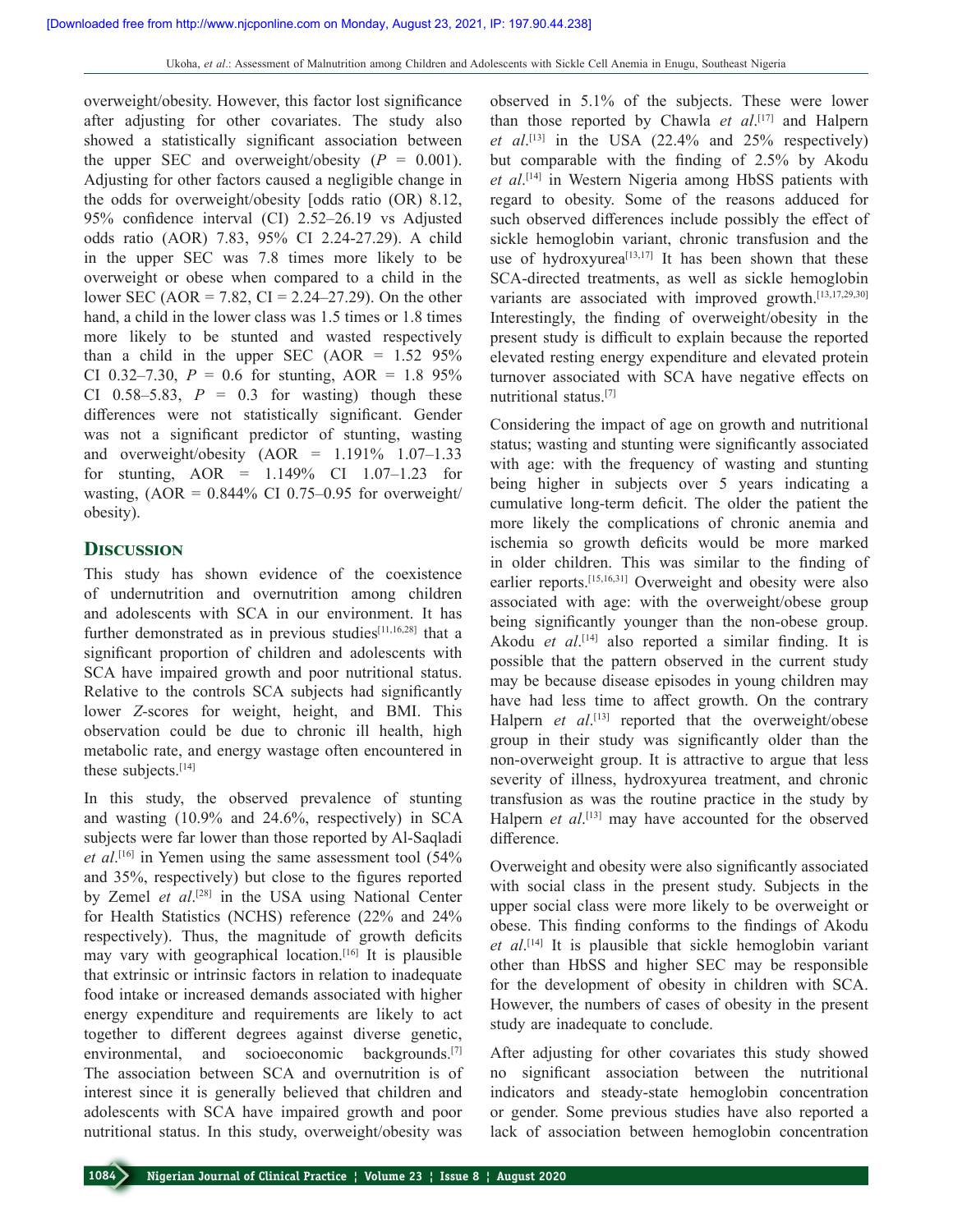overweight/obesity. However, this factor lost significance after adjusting for other covariates. The study also showed a statistically significant association between the upper SEC and overweight/obesity  $(P = 0.001)$ . Adjusting for other factors caused a negligible change in the odds for overweight/obesity [odds ratio (OR) 8.12, 95% confidence interval (CI) 2.52–26.19 vs Adjusted odds ratio (AOR) 7.83, 95% CI 2.24‑27.29). A child in the upper SEC was 7.8 times more likely to be overweight or obese when compared to a child in the lower SEC (AOR = 7.82, CI = 2.24–27.29). On the other hand, a child in the lower class was 1.5 times or 1.8 times more likely to be stunted and wasted respectively than a child in the upper SEC  $(AOR = 1.52 \, 95\%)$ CI 0.32–7.30,  $P = 0.6$  for stunting, AOR = 1.8 95% CI  $0.58-5.83$ ,  $P = 0.3$  for wasting) though these differences were not statistically significant. Gender was not a significant predictor of stunting, wasting and overweight/obesity  $(AOR = 1.191\% 1.07-1.33)$ for stunting, AOR = 1.149% CI 1.07–1.23 for wasting,  $(AOR = 0.844\% \text{ CI } 0.75-0.95 \text{ for overweight}/$ obesity).

# **Discussion**

This study has shown evidence of the coexistence of undernutrition and overnutrition among children and adolescents with SCA in our environment. It has further demonstrated as in previous studies $[11,16,28]$  that a significant proportion of children and adolescents with SCA have impaired growth and poor nutritional status. Relative to the controls SCA subjects had significantly lower *Z-*scores for weight, height, and BMI. This observation could be due to chronic ill health, high metabolic rate, and energy wastage often encountered in these subjects.[14]

In this study, the observed prevalence of stunting and wasting (10.9% and 24.6%, respectively) in SCA subjects were far lower than those reported by Al-Saqladi *et al*. [16] in Yemen using the same assessment tool (54% and 35%, respectively) but close to the figures reported by Zemel *et al*. [28] in the USA using National Center for Health Statistics (NCHS) reference (22% and 24% respectively). Thus, the magnitude of growth deficits may vary with geographical location.[16] It is plausible that extrinsic or intrinsic factors in relation to inadequate food intake or increased demands associated with higher energy expenditure and requirements are likely to act together to different degrees against diverse genetic, environmental, and socioeconomic backgrounds.<sup>[7]</sup> The association between SCA and overnutrition is of interest since it is generally believed that children and adolescents with SCA have impaired growth and poor nutritional status. In this study, overweight/obesity was

observed in 5.1% of the subjects. These were lower than those reported by Chawla *et al*. [17] and Halpern *et al*. [13] in the USA (22.4% and 25% respectively) but comparable with the finding of 2.5% by Akodu *et al*. [14] in Western Nigeria among HbSS patients with regard to obesity. Some of the reasons adduced for such observed differences include possibly the effect of sickle hemoglobin variant, chronic transfusion and the use of hydroxyurea<sup>[13,17]</sup> It has been shown that these SCA-directed treatments, as well as sickle hemoglobin variants are associated with improved growth.<sup>[13,17,29,30]</sup> Interestingly, the finding of overweight/obesity in the present study is difficult to explain because the reported elevated resting energy expenditure and elevated protein turnover associated with SCA have negative effects on nutritional status.[7]

Considering the impact of age on growth and nutritional status; wasting and stunting were significantly associated with age: with the frequency of wasting and stunting being higher in subjects over 5 years indicating a cumulative long‑term deficit. The older the patient the more likely the complications of chronic anemia and ischemia so growth deficits would be more marked in older children. This was similar to the finding of earlier reports.[15,16,31] Overweight and obesity were also associated with age: with the overweight/obese group being significantly younger than the non-obese group. Akodu *et al*. [14] also reported a similar finding. It is possible that the pattern observed in the current study may be because disease episodes in young children may have had less time to affect growth. On the contrary Halpern *et al*. [13] reported that the overweight/obese group in their study was significantly older than the non‑overweight group. It is attractive to argue that less severity of illness, hydroxyurea treatment, and chronic transfusion as was the routine practice in the study by Halpern *et al*. [13] may have accounted for the observed difference.

Overweight and obesity were also significantly associated with social class in the present study. Subjects in the upper social class were more likely to be overweight or obese. This finding conforms to the findings of Akodu *et al*. [14] It is plausible that sickle hemoglobin variant other than HbSS and higher SEC may be responsible for the development of obesity in children with SCA. However, the numbers of cases of obesity in the present study are inadequate to conclude.

After adjusting for other covariates this study showed no significant association between the nutritional indicators and steady‑state hemoglobin concentration or gender. Some previous studies have also reported a lack of association between hemoglobin concentration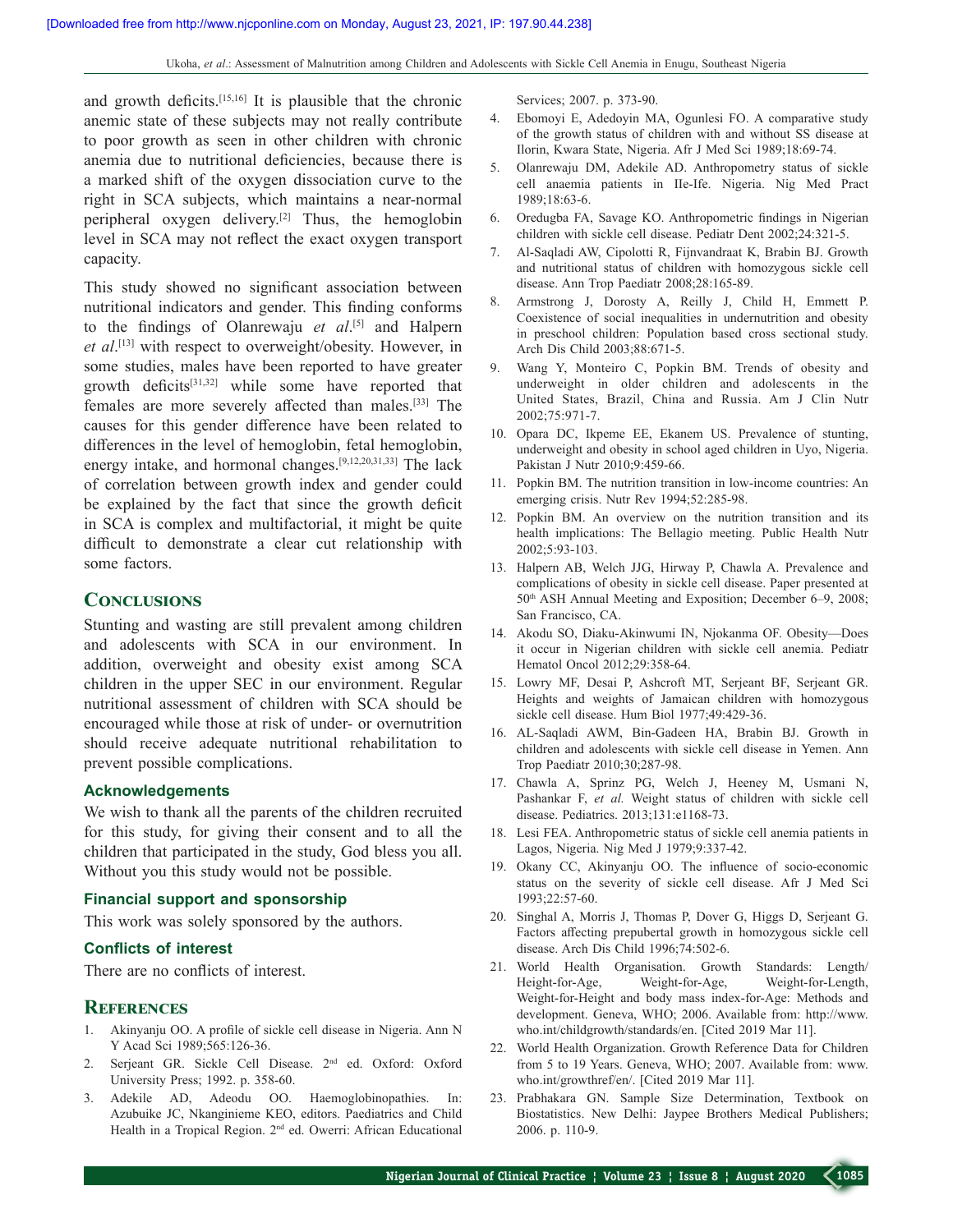Ukoha, *et al*.: Assessment of Malnutrition among Children and Adolescents with Sickle Cell Anemia in Enugu, Southeast Nigeria

and growth deficits.[15,16] It is plausible that the chronic anemic state of these subjects may not really contribute to poor growth as seen in other children with chronic anemia due to nutritional deficiencies, because there is a marked shift of the oxygen dissociation curve to the right in SCA subjects, which maintains a near-normal peripheral oxygen delivery.[2] Thus, the hemoglobin level in SCA may not reflect the exact oxygen transport capacity.

This study showed no significant association between nutritional indicators and gender. This finding conforms to the findings of Olanrewaju *et al*. [5] and Halpern *et al*. [13] with respect to overweight/obesity. However, in some studies, males have been reported to have greater growth deficits[31,32] while some have reported that females are more severely affected than males.[33] The causes for this gender difference have been related to differences in the level of hemoglobin, fetal hemoglobin, energy intake, and hormonal changes.[9,12,20,31,33] The lack of correlation between growth index and gender could be explained by the fact that since the growth deficit in SCA is complex and multifactorial, it might be quite difficult to demonstrate a clear cut relationship with some factors.

# **Conclusions**

Stunting and wasting are still prevalent among children and adolescents with SCA in our environment. In addition, overweight and obesity exist among SCA children in the upper SEC in our environment. Regular nutritional assessment of children with SCA should be encouraged while those at risk of under‑ or overnutrition should receive adequate nutritional rehabilitation to prevent possible complications.

#### **Acknowledgements**

We wish to thank all the parents of the children recruited for this study, for giving their consent and to all the children that participated in the study, God bless you all. Without you this study would not be possible.

#### **Financial support and sponsorship**

This work was solely sponsored by the authors.

### **Conflicts of interest**

There are no conflicts of interest.

#### **References**

- 1. Akinyanju OO. A profile of sickle cell disease in Nigeria. Ann N Y Acad Sci 1989;565:126-36.
- 2. Serjeant GR. Sickle Cell Disease. 2nd ed. Oxford: Oxford University Press; 1992. p. 358‑60.
- 3. Adekile AD, Adeodu OO. Haemoglobinopathies. In: Azubuike JC, Nkanginieme KEO, editors. Paediatrics and Child Health in a Tropical Region. 2nd ed. Owerri: African Educational

Services; 2007. p. 373‑90.

- 4. Ebomoyi E, Adedoyin MA, Ogunlesi FO. A comparative study of the growth status of children with and without SS disease at Ilorin, Kwara State, Nigeria. Afr J Med Sci 1989;18:69‑74.
- 5. Olanrewaju DM, Adekile AD. Anthropometry status of sickle cell anaemia patients in IIe‑Ife. Nigeria. Nig Med Pract 1989;18:63‑6.
- 6. Oredugba FA, Savage KO. Anthropometric findings in Nigerian children with sickle cell disease. Pediatr Dent 2002;24:321‑5.
- 7. Al‑Saqladi AW, Cipolotti R, Fijnvandraat K, Brabin BJ. Growth and nutritional status of children with homozygous sickle cell disease. Ann Trop Paediatr 2008;28:165‑89.
- 8. Armstrong J, Dorosty A, Reilly J, Child H, Emmett P. Coexistence of social inequalities in undernutrition and obesity in preschool children: Population based cross sectional study. Arch Dis Child 2003;88:671‑5.
- 9. Wang Y, Monteiro C, Popkin BM. Trends of obesity and underweight in older children and adolescents in the United States, Brazil, China and Russia. Am J Clin Nutr 2002;75:971‑7.
- 10. Opara DC, Ikpeme EE, Ekanem US. Prevalence of stunting, underweight and obesity in school aged children in Uyo, Nigeria. Pakistan J Nutr 2010;9:459‑66.
- 11. Popkin BM. The nutrition transition in low‑income countries: An emerging crisis. Nutr Rev 1994;52:285-98.
- 12. Popkin BM. An overview on the nutrition transition and its health implications: The Bellagio meeting. Public Health Nutr 2002;5:93‑103.
- 13. Halpern AB, Welch JJG, Hirway P, Chawla A. Prevalence and complications of obesity in sickle cell disease. Paper presented at 50<sup>th</sup> ASH Annual Meeting and Exposition; December 6–9, 2008; San Francisco, CA.
- 14. Akodu SO, Diaku‑Akinwumi IN, Njokanma OF. Obesity—Does it occur in Nigerian children with sickle cell anemia. Pediatr Hematol Oncol 2012;29:358‑64.
- 15. Lowry MF, Desai P, Ashcroft MT, Serjeant BF, Serjeant GR. Heights and weights of Jamaican children with homozygous sickle cell disease. Hum Biol 1977;49:429-36.
- 16. AL‑Saqladi AWM, Bin‑Gadeen HA, Brabin BJ. Growth in children and adolescents with sickle cell disease in Yemen. Ann Trop Paediatr 2010;30;287‑98.
- 17. Chawla A, Sprinz PG, Welch J, Heeney M, Usmani N, Pashankar F, *et al.* Weight status of children with sickle cell disease. Pediatrics. 2013;131:e1168‑73.
- 18. Lesi FEA. Anthropometric status of sickle cell anemia patients in Lagos, Nigeria. Nig Med J 1979;9:337‑42.
- 19. Okany CC, Akinyanju OO. The influence of socio-economic status on the severity of sickle cell disease. Afr J Med Sci 1993;22:57‑60.
- 20. Singhal A, Morris J, Thomas P, Dover G, Higgs D, Serjeant G. Factors affecting prepubertal growth in homozygous sickle cell disease. Arch Dis Child 1996;74:502‑6.
- 21. World Health Organisation. Growth Standards: Length/ Height-for-Age, Weight-for-Age, Weight-for-Length, Weight-for-Height and body mass index-for-Age: Methods and development. Geneva, WHO; 2006. Available from: http://www. who.int/childgrowth/standards/en. [Cited 2019 Mar 11].
- 22. World Health Organization. Growth Reference Data for Children from 5 to 19 Years. Geneva, WHO; 2007. Available from: www. who.int/growthref/en/. [Cited 2019 Mar 11].
- 23. Prabhakara GN. Sample Size Determination, Textbook on Biostatistics. New Delhi: Jaypee Brothers Medical Publishers; 2006. p. 110‑9.